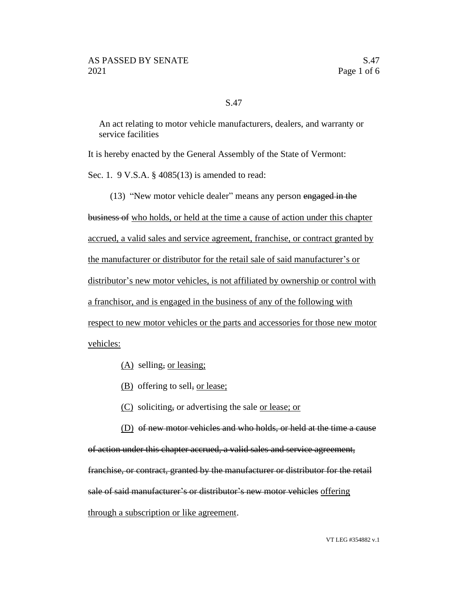## S.47

An act relating to motor vehicle manufacturers, dealers, and warranty or service facilities

It is hereby enacted by the General Assembly of the State of Vermont:

Sec. 1. 9 V.S.A. § 4085(13) is amended to read:

(13) "New motor vehicle dealer" means any person engaged in the

business of who holds, or held at the time a cause of action under this chapter accrued, a valid sales and service agreement, franchise, or contract granted by the manufacturer or distributor for the retail sale of said manufacturer's or distributor's new motor vehicles, is not affiliated by ownership or control with a franchisor, and is engaged in the business of any of the following with respect to new motor vehicles or the parts and accessories for those new motor vehicles:

- (A) selling, or leasing;
- (B) offering to sell, or lease;
- (C) soliciting, or advertising the sale or lease; or
- (D) of new motor vehicles and who holds, or held at the time a cause

of action under this chapter accrued, a valid sales and service agreement,

franchise, or contract, granted by the manufacturer or distributor for the retail

sale of said manufacturer's or distributor's new motor vehicles offering

through a subscription or like agreement.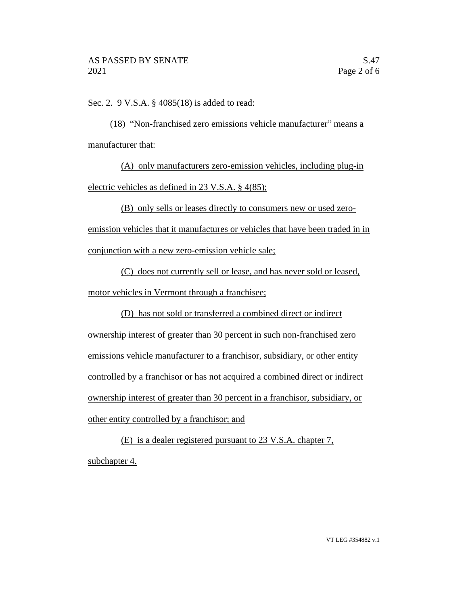Sec. 2. 9 V.S.A. § 4085(18) is added to read:

(18) "Non-franchised zero emissions vehicle manufacturer" means a manufacturer that:

(A) only manufacturers zero-emission vehicles, including plug-in electric vehicles as defined in 23 V.S.A. § 4(85);

(B) only sells or leases directly to consumers new or used zeroemission vehicles that it manufactures or vehicles that have been traded in in

conjunction with a new zero-emission vehicle sale;

(C) does not currently sell or lease, and has never sold or leased, motor vehicles in Vermont through a franchisee;

(D) has not sold or transferred a combined direct or indirect ownership interest of greater than 30 percent in such non-franchised zero emissions vehicle manufacturer to a franchisor, subsidiary, or other entity controlled by a franchisor or has not acquired a combined direct or indirect ownership interest of greater than 30 percent in a franchisor, subsidiary, or other entity controlled by a franchisor; and

(E) is a dealer registered pursuant to 23 V.S.A. chapter 7, subchapter 4.

VT LEG #354882 v.1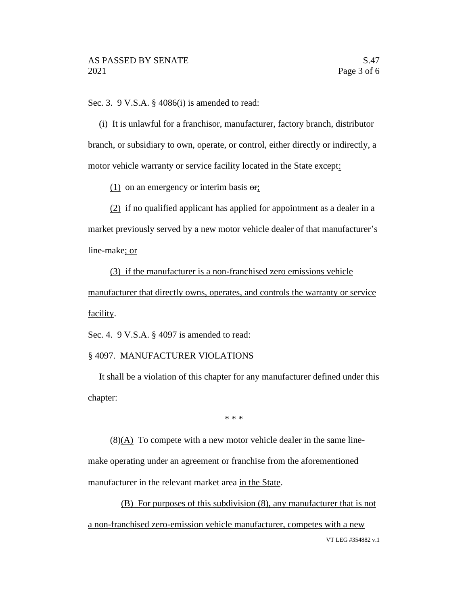Sec. 3. 9 V.S.A. § 4086(i) is amended to read:

(i) It is unlawful for a franchisor, manufacturer, factory branch, distributor branch, or subsidiary to own, operate, or control, either directly or indirectly, a motor vehicle warranty or service facility located in the State except:

 $(1)$  on an emergency or interim basis  $\Theta$ ;

(2) if no qualified applicant has applied for appointment as a dealer in a market previously served by a new motor vehicle dealer of that manufacturer's line-make; or

(3) if the manufacturer is a non-franchised zero emissions vehicle manufacturer that directly owns, operates, and controls the warranty or service facility.

Sec. 4. 9 V.S.A. § 4097 is amended to read:

## § 4097. MANUFACTURER VIOLATIONS

It shall be a violation of this chapter for any manufacturer defined under this chapter:

\* \* \*

 $(8)(A)$  To compete with a new motor vehicle dealer in the same linemake operating under an agreement or franchise from the aforementioned manufacturer in the relevant market area in the State.

VT LEG #354882 v.1 (B) For purposes of this subdivision (8), any manufacturer that is not a non-franchised zero-emission vehicle manufacturer, competes with a new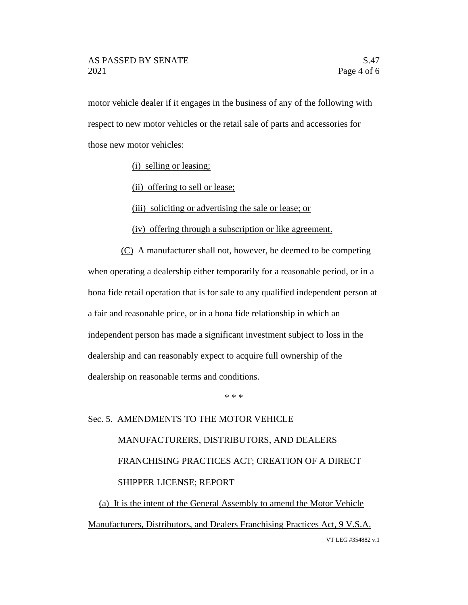motor vehicle dealer if it engages in the business of any of the following with respect to new motor vehicles or the retail sale of parts and accessories for those new motor vehicles:

(i) selling or leasing;

(ii) offering to sell or lease;

(iii) soliciting or advertising the sale or lease; or

(iv) offering through a subscription or like agreement.

(C) A manufacturer shall not, however, be deemed to be competing when operating a dealership either temporarily for a reasonable period, or in a bona fide retail operation that is for sale to any qualified independent person at a fair and reasonable price, or in a bona fide relationship in which an independent person has made a significant investment subject to loss in the dealership and can reasonably expect to acquire full ownership of the dealership on reasonable terms and conditions.

\* \* \*

## Sec. 5. AMENDMENTS TO THE MOTOR VEHICLE MANUFACTURERS, DISTRIBUTORS, AND DEALERS FRANCHISING PRACTICES ACT; CREATION OF A DIRECT SHIPPER LICENSE; REPORT

VT LEG #354882 v.1 (a) It is the intent of the General Assembly to amend the Motor Vehicle Manufacturers, Distributors, and Dealers Franchising Practices Act, 9 V.S.A.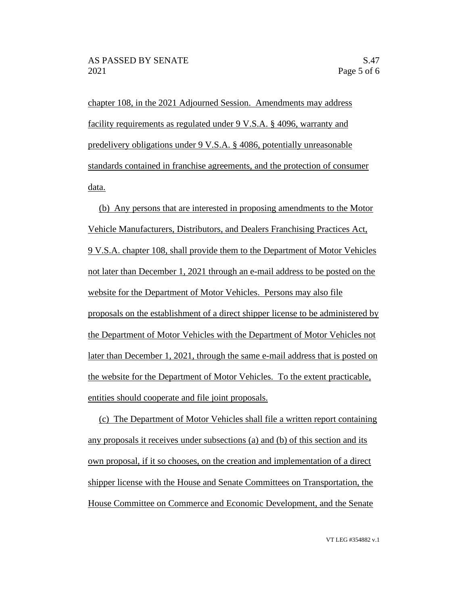chapter 108, in the 2021 Adjourned Session. Amendments may address facility requirements as regulated under 9 V.S.A. § 4096, warranty and predelivery obligations under 9 V.S.A. § 4086, potentially unreasonable standards contained in franchise agreements, and the protection of consumer data.

(b) Any persons that are interested in proposing amendments to the Motor Vehicle Manufacturers, Distributors, and Dealers Franchising Practices Act, 9 V.S.A. chapter 108, shall provide them to the Department of Motor Vehicles not later than December 1, 2021 through an e-mail address to be posted on the website for the Department of Motor Vehicles. Persons may also file proposals on the establishment of a direct shipper license to be administered by the Department of Motor Vehicles with the Department of Motor Vehicles not later than December 1, 2021, through the same e-mail address that is posted on the website for the Department of Motor Vehicles. To the extent practicable, entities should cooperate and file joint proposals.

(c) The Department of Motor Vehicles shall file a written report containing any proposals it receives under subsections (a) and (b) of this section and its own proposal, if it so chooses, on the creation and implementation of a direct shipper license with the House and Senate Committees on Transportation, the House Committee on Commerce and Economic Development, and the Senate